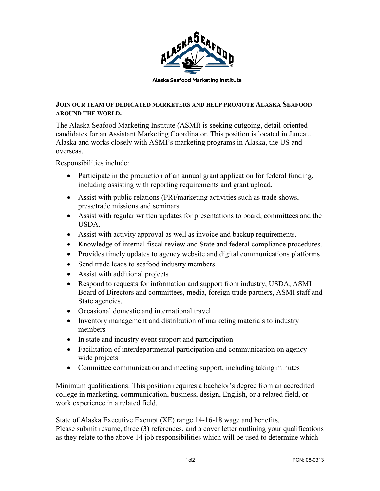

## **JOIN OUR TEAM OF DEDICATED MARKETERS AND HELP PROMOTE ALASKA SEAFOOD AROUND THE WORLD.**

The Alaska Seafood Marketing Institute (ASMI) is seeking outgoing, detail-oriented candidates for an Assistant Marketing Coordinator. This position is located in Juneau, Alaska and works closely with ASMI's marketing programs in Alaska, the US and overseas.

Responsibilities include:

- Participate in the production of an annual grant application for federal funding, including assisting with reporting requirements and grant upload.
- Assist with public relations (PR)/marketing activities such as trade shows, press/trade missions and seminars.
- Assist with regular written updates for presentations to board, committees and the USDA.
- Assist with activity approval as well as invoice and backup requirements.
- Knowledge of internal fiscal review and State and federal compliance procedures.
- Provides timely updates to agency website and digital communications platforms
- Send trade leads to seafood industry members
- Assist with additional projects
- Respond to requests for information and support from industry, USDA, ASMI Board of Directors and committees, media, foreign trade partners, ASMI staff and State agencies.
- Occasional domestic and international travel
- Inventory management and distribution of marketing materials to industry members
- In state and industry event support and participation
- Facilitation of interdepartmental participation and communication on agencywide projects
- Committee communication and meeting support, including taking minutes

Minimum qualifications: This position requires a bachelor's degree from an accredited college in marketing, communication, business, design, English, or a related field, or work experience in a related field.

State of Alaska Executive Exempt (XE) range 14-16-18 wage and benefits. Please submit resume, three (3) references, and a cover letter outlining your qualifications as they relate to the above 14 job responsibilities which will be used to determine which